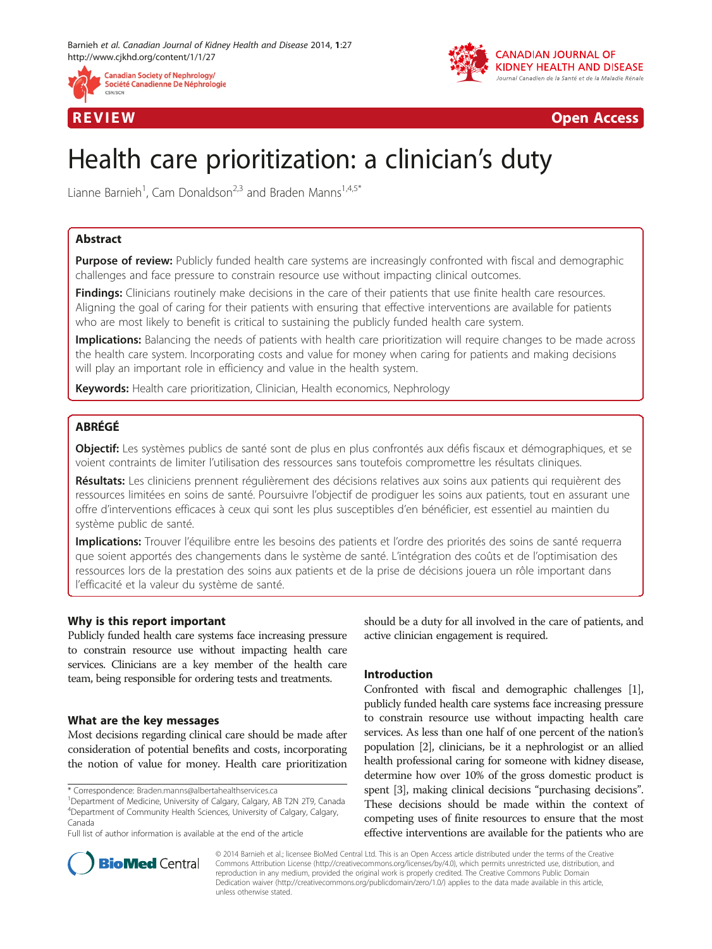



R EVI EW Open Access

# Health care prioritization: a clinician's duty

Lianne Barnieh<sup>1</sup>, Cam Donaldson<sup>2,3</sup> and Braden Manns<sup>1,4,5\*</sup>

# Abstract

Purpose of review: Publicly funded health care systems are increasingly confronted with fiscal and demographic challenges and face pressure to constrain resource use without impacting clinical outcomes.

Findings: Clinicians routinely make decisions in the care of their patients that use finite health care resources. Aligning the goal of caring for their patients with ensuring that effective interventions are available for patients who are most likely to benefit is critical to sustaining the publicly funded health care system.

Implications: Balancing the needs of patients with health care prioritization will require changes to be made across the health care system. Incorporating costs and value for money when caring for patients and making decisions will play an important role in efficiency and value in the health system.

Keywords: Health care prioritization, Clinician, Health economics, Nephrology

# ABRÉGÉ

Objectif: Les systèmes publics de santé sont de plus en plus confrontés aux défis fiscaux et démographiques, et se voient contraints de limiter l'utilisation des ressources sans toutefois compromettre les résultats cliniques.

Résultats: Les cliniciens prennent réqulièrement des décisions relatives aux soins aux patients qui requièrent des ressources limitées en soins de santé. Poursuivre l'objectif de prodiguer les soins aux patients, tout en assurant une offre d'interventions efficaces à ceux qui sont les plus susceptibles d'en bénéficier, est essentiel au maintien du système public de santé.

Implications: Trouver l'équilibre entre les besoins des patients et l'ordre des priorités des soins de santé requerra que soient apportés des changements dans le système de santé. L'intégration des coûts et de l'optimisation des ressources lors de la prestation des soins aux patients et de la prise de décisions jouera un rôle important dans l'efficacité et la valeur du système de santé.

# Why is this report important

Publicly funded health care systems face increasing pressure to constrain resource use without impacting health care services. Clinicians are a key member of the health care team, being responsible for ordering tests and treatments.

# What are the key messages

Most decisions regarding clinical care should be made after consideration of potential benefits and costs, incorporating the notion of value for money. Health care prioritization

\* Correspondence: [Braden.manns@albertahealthservices.ca](mailto:Braden.manns@albertahealthservices.ca) <sup>1</sup>

should be a duty for all involved in the care of patients, and active clinician engagement is required.

# Introduction

Confronted with fiscal and demographic challenges [[1](#page-3-0)], publicly funded health care systems face increasing pressure to constrain resource use without impacting health care services. As less than one half of one percent of the nation's population [[2](#page-3-0)], clinicians, be it a nephrologist or an allied health professional caring for someone with kidney disease, determine how over 10% of the gross domestic product is spent [\[3\]](#page-3-0), making clinical decisions "purchasing decisions". These decisions should be made within the context of competing uses of finite resources to ensure that the most effective interventions are available for the patients who are



© 2014 Barnieh et al.; licensee BioMed Central Ltd. This is an Open Access article distributed under the terms of the Creative Commons Attribution License [\(http://creativecommons.org/licenses/by/4.0\)](http://creativecommons.org/licenses/by/4.0), which permits unrestricted use, distribution, and reproduction in any medium, provided the original work is properly credited. The Creative Commons Public Domain Dedication waiver [\(http://creativecommons.org/publicdomain/zero/1.0/](http://creativecommons.org/publicdomain/zero/1.0/)) applies to the data made available in this article, unless otherwise stated.

<sup>&</sup>lt;sup>1</sup>Department of Medicine, University of Calgary, Calgary, AB T2N 2T9, Canada 4 Department of Community Health Sciences, University of Calgary, Calgary, Canada

Full list of author information is available at the end of the article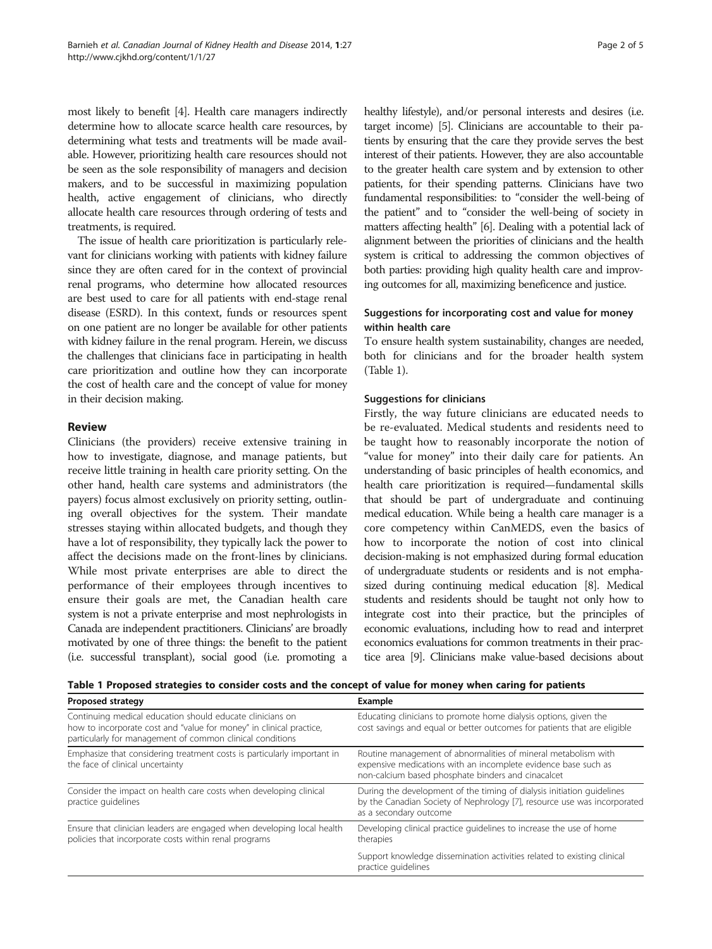most likely to benefit [\[4\]](#page-3-0). Health care managers indirectly determine how to allocate scarce health care resources, by determining what tests and treatments will be made available. However, prioritizing health care resources should not be seen as the sole responsibility of managers and decision makers, and to be successful in maximizing population health, active engagement of clinicians, who directly allocate health care resources through ordering of tests and treatments, is required.

The issue of health care prioritization is particularly relevant for clinicians working with patients with kidney failure since they are often cared for in the context of provincial renal programs, who determine how allocated resources are best used to care for all patients with end-stage renal disease (ESRD). In this context, funds or resources spent on one patient are no longer be available for other patients with kidney failure in the renal program. Herein, we discuss the challenges that clinicians face in participating in health care prioritization and outline how they can incorporate the cost of health care and the concept of value for money in their decision making.

## Review

Clinicians (the providers) receive extensive training in how to investigate, diagnose, and manage patients, but receive little training in health care priority setting. On the other hand, health care systems and administrators (the payers) focus almost exclusively on priority setting, outlining overall objectives for the system. Their mandate stresses staying within allocated budgets, and though they have a lot of responsibility, they typically lack the power to affect the decisions made on the front-lines by clinicians. While most private enterprises are able to direct the performance of their employees through incentives to ensure their goals are met, the Canadian health care system is not a private enterprise and most nephrologists in Canada are independent practitioners. Clinicians' are broadly motivated by one of three things: the benefit to the patient (i.e. successful transplant), social good (i.e. promoting a healthy lifestyle), and/or personal interests and desires (i.e. target income) [[5](#page-3-0)]. Clinicians are accountable to their patients by ensuring that the care they provide serves the best interest of their patients. However, they are also accountable to the greater health care system and by extension to other patients, for their spending patterns. Clinicians have two fundamental responsibilities: to "consider the well-being of the patient" and to "consider the well-being of society in matters affecting health" [[6](#page-3-0)]. Dealing with a potential lack of alignment between the priorities of clinicians and the health system is critical to addressing the common objectives of both parties: providing high quality health care and improving outcomes for all, maximizing beneficence and justice.

# Suggestions for incorporating cost and value for money within health care

To ensure health system sustainability, changes are needed, both for clinicians and for the broader health system (Table 1).

## Suggestions for clinicians

Firstly, the way future clinicians are educated needs to be re-evaluated. Medical students and residents need to be taught how to reasonably incorporate the notion of "value for money" into their daily care for patients. An understanding of basic principles of health economics, and health care prioritization is required—fundamental skills that should be part of undergraduate and continuing medical education. While being a health care manager is a core competency within CanMEDS, even the basics of how to incorporate the notion of cost into clinical decision-making is not emphasized during formal education of undergraduate students or residents and is not emphasized during continuing medical education [\[8\]](#page-3-0). Medical students and residents should be taught not only how to integrate cost into their practice, but the principles of economic evaluations, including how to read and interpret economics evaluations for common treatments in their practice area [\[9\]](#page-3-0). Clinicians make value-based decisions about

|  |  | Table 1 Proposed strategies to consider costs and the concept of value for money when caring for patients |  |  |  |  |  |  |  |  |  |
|--|--|-----------------------------------------------------------------------------------------------------------|--|--|--|--|--|--|--|--|--|
|--|--|-----------------------------------------------------------------------------------------------------------|--|--|--|--|--|--|--|--|--|

| Proposed strategy                                                                                                                                                                             | Example                                                                                                                                                                                |
|-----------------------------------------------------------------------------------------------------------------------------------------------------------------------------------------------|----------------------------------------------------------------------------------------------------------------------------------------------------------------------------------------|
| Continuing medical education should educate clinicians on<br>how to incorporate cost and "value for money" in clinical practice,<br>particularly for management of common clinical conditions | Educating clinicians to promote home dialysis options, given the<br>cost savings and equal or better outcomes for patients that are eligible                                           |
| Emphasize that considering treatment costs is particularly important in<br>the face of clinical uncertainty                                                                                   | Routine management of abnormalities of mineral metabolism with<br>expensive medications with an incomplete evidence base such as<br>non-calcium based phosphate binders and cinacalcet |
| Consider the impact on health care costs when developing clinical<br>practice quidelines                                                                                                      | During the development of the timing of dialysis initiation quidelines<br>by the Canadian Society of Nephrology [7], resource use was incorporated<br>as a secondary outcome           |
| Ensure that clinician leaders are engaged when developing local health<br>policies that incorporate costs within renal programs                                                               | Developing clinical practice guidelines to increase the use of home<br>therapies                                                                                                       |
|                                                                                                                                                                                               | Support knowledge dissemination activities related to existing clinical<br>practice quidelines                                                                                         |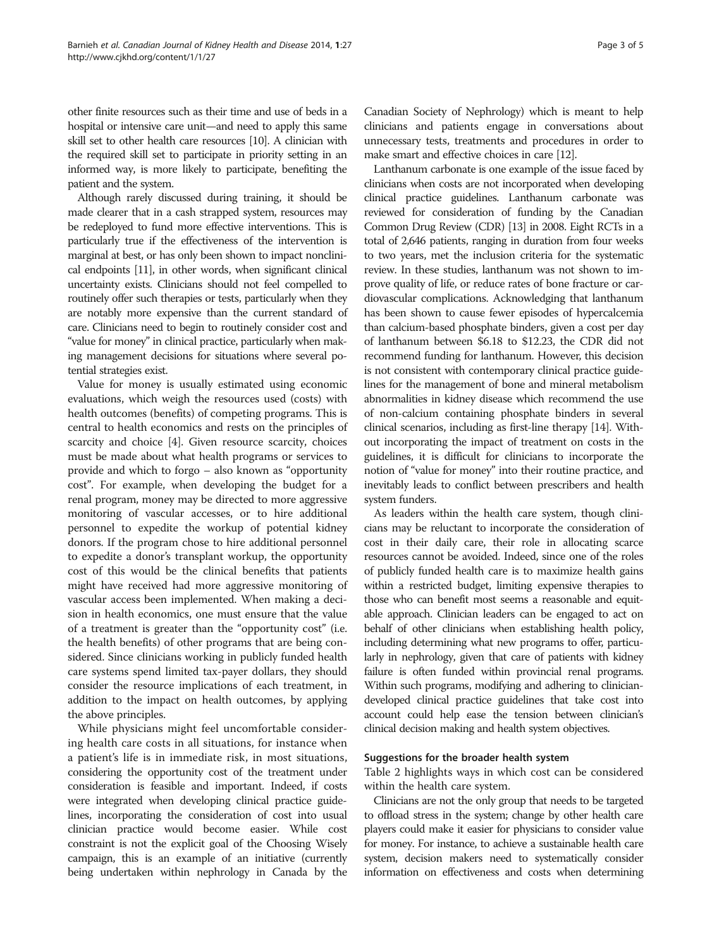other finite resources such as their time and use of beds in a hospital or intensive care unit—and need to apply this same skill set to other health care resources [\[10\]](#page-3-0). A clinician with the required skill set to participate in priority setting in an informed way, is more likely to participate, benefiting the patient and the system.

Although rarely discussed during training, it should be made clearer that in a cash strapped system, resources may be redeployed to fund more effective interventions. This is particularly true if the effectiveness of the intervention is marginal at best, or has only been shown to impact nonclinical endpoints [\[11](#page-3-0)], in other words, when significant clinical uncertainty exists. Clinicians should not feel compelled to routinely offer such therapies or tests, particularly when they are notably more expensive than the current standard of care. Clinicians need to begin to routinely consider cost and "value for money" in clinical practice, particularly when making management decisions for situations where several potential strategies exist.

Value for money is usually estimated using economic evaluations, which weigh the resources used (costs) with health outcomes (benefits) of competing programs. This is central to health economics and rests on the principles of scarcity and choice [[4](#page-3-0)]. Given resource scarcity, choices must be made about what health programs or services to provide and which to forgo – also known as "opportunity cost". For example, when developing the budget for a renal program, money may be directed to more aggressive monitoring of vascular accesses, or to hire additional personnel to expedite the workup of potential kidney donors. If the program chose to hire additional personnel to expedite a donor's transplant workup, the opportunity cost of this would be the clinical benefits that patients might have received had more aggressive monitoring of vascular access been implemented. When making a decision in health economics, one must ensure that the value of a treatment is greater than the "opportunity cost" (i.e. the health benefits) of other programs that are being considered. Since clinicians working in publicly funded health care systems spend limited tax-payer dollars, they should consider the resource implications of each treatment, in addition to the impact on health outcomes, by applying the above principles.

While physicians might feel uncomfortable considering health care costs in all situations, for instance when a patient's life is in immediate risk, in most situations, considering the opportunity cost of the treatment under consideration is feasible and important. Indeed, if costs were integrated when developing clinical practice guidelines, incorporating the consideration of cost into usual clinician practice would become easier. While cost constraint is not the explicit goal of the Choosing Wisely campaign, this is an example of an initiative (currently being undertaken within nephrology in Canada by the Canadian Society of Nephrology) which is meant to help clinicians and patients engage in conversations about unnecessary tests, treatments and procedures in order to make smart and effective choices in care [\[12\]](#page-3-0).

Lanthanum carbonate is one example of the issue faced by clinicians when costs are not incorporated when developing clinical practice guidelines. Lanthanum carbonate was reviewed for consideration of funding by the Canadian Common Drug Review (CDR) [\[13](#page-4-0)] in 2008. Eight RCTs in a total of 2,646 patients, ranging in duration from four weeks to two years, met the inclusion criteria for the systematic review. In these studies, lanthanum was not shown to improve quality of life, or reduce rates of bone fracture or cardiovascular complications. Acknowledging that lanthanum has been shown to cause fewer episodes of hypercalcemia than calcium-based phosphate binders, given a cost per day of lanthanum between \$6.18 to \$12.23, the CDR did not recommend funding for lanthanum. However, this decision is not consistent with contemporary clinical practice guidelines for the management of bone and mineral metabolism abnormalities in kidney disease which recommend the use of non-calcium containing phosphate binders in several clinical scenarios, including as first-line therapy [\[14\]](#page-4-0). Without incorporating the impact of treatment on costs in the guidelines, it is difficult for clinicians to incorporate the notion of "value for money" into their routine practice, and inevitably leads to conflict between prescribers and health system funders.

As leaders within the health care system, though clinicians may be reluctant to incorporate the consideration of cost in their daily care, their role in allocating scarce resources cannot be avoided. Indeed, since one of the roles of publicly funded health care is to maximize health gains within a restricted budget, limiting expensive therapies to those who can benefit most seems a reasonable and equitable approach. Clinician leaders can be engaged to act on behalf of other clinicians when establishing health policy, including determining what new programs to offer, particularly in nephrology, given that care of patients with kidney failure is often funded within provincial renal programs. Within such programs, modifying and adhering to cliniciandeveloped clinical practice guidelines that take cost into account could help ease the tension between clinician's clinical decision making and health system objectives.

#### Suggestions for the broader health system

Table [2](#page-3-0) highlights ways in which cost can be considered within the health care system.

Clinicians are not the only group that needs to be targeted to offload stress in the system; change by other health care players could make it easier for physicians to consider value for money. For instance, to achieve a sustainable health care system, decision makers need to systematically consider information on effectiveness and costs when determining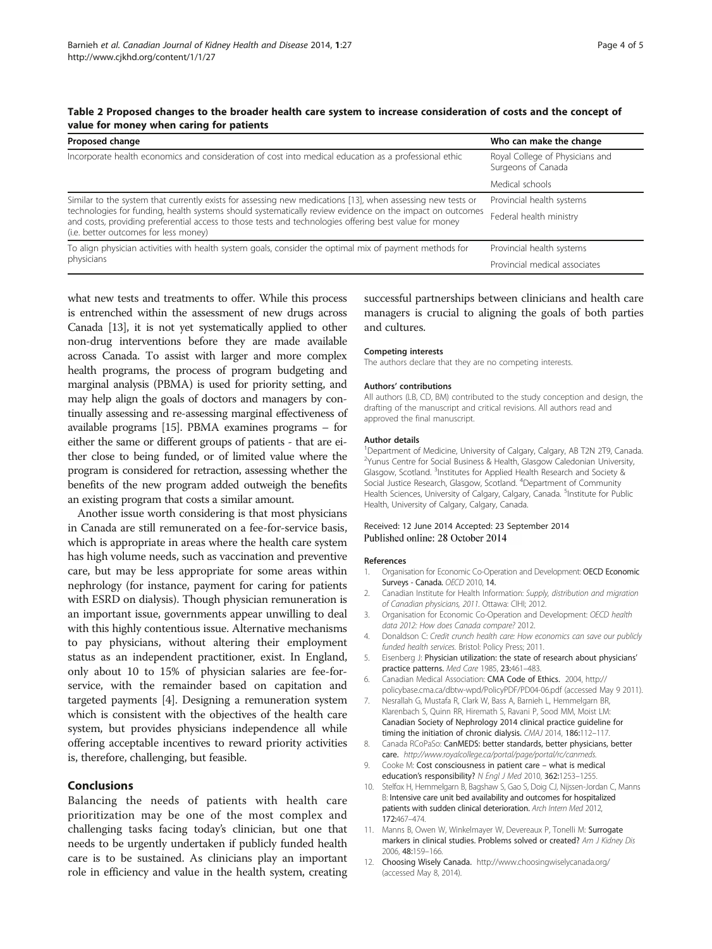### <span id="page-3-0"></span>Table 2 Proposed changes to the broader health care system to increase consideration of costs and the concept of value for money when caring for patients

| Proposed change                                                                                                                                                                                                                                             | Who can make the change                               |  |  |
|-------------------------------------------------------------------------------------------------------------------------------------------------------------------------------------------------------------------------------------------------------------|-------------------------------------------------------|--|--|
| Incorporate health economics and consideration of cost into medical education as a professional ethic                                                                                                                                                       | Royal College of Physicians and<br>Surgeons of Canada |  |  |
|                                                                                                                                                                                                                                                             | Medical schools                                       |  |  |
| Similar to the system that currently exists for assessing new medications [13], when assessing new tests or                                                                                                                                                 | Provincial health systems                             |  |  |
| technologies for funding, health systems should systematically review evidence on the impact on outcomes<br>and costs, providing preferential access to those tests and technologies offering best value for money<br>(i.e. better outcomes for less money) | Federal health ministry                               |  |  |
| To align physician activities with health system goals, consider the optimal mix of payment methods for                                                                                                                                                     | Provincial health systems                             |  |  |
| physicians                                                                                                                                                                                                                                                  | Provincial medical associates                         |  |  |

what new tests and treatments to offer. While this process is entrenched within the assessment of new drugs across Canada [[13\]](#page-4-0), it is not yet systematically applied to other non-drug interventions before they are made available across Canada. To assist with larger and more complex health programs, the process of program budgeting and marginal analysis (PBMA) is used for priority setting, and may help align the goals of doctors and managers by continually assessing and re-assessing marginal effectiveness of available programs [\[15\]](#page-4-0). PBMA examines programs – for either the same or different groups of patients - that are either close to being funded, or of limited value where the program is considered for retraction, assessing whether the benefits of the new program added outweigh the benefits an existing program that costs a similar amount.

Another issue worth considering is that most physicians in Canada are still remunerated on a fee-for-service basis, which is appropriate in areas where the health care system has high volume needs, such as vaccination and preventive care, but may be less appropriate for some areas within nephrology (for instance, payment for caring for patients with ESRD on dialysis). Though physician remuneration is an important issue, governments appear unwilling to deal with this highly contentious issue. Alternative mechanisms to pay physicians, without altering their employment status as an independent practitioner, exist. In England, only about 10 to 15% of physician salaries are fee-forservice, with the remainder based on capitation and targeted payments [4]. Designing a remuneration system which is consistent with the objectives of the health care system, but provides physicians independence all while offering acceptable incentives to reward priority activities is, therefore, challenging, but feasible.

## Conclusions

Balancing the needs of patients with health care prioritization may be one of the most complex and challenging tasks facing today's clinician, but one that needs to be urgently undertaken if publicly funded health care is to be sustained. As clinicians play an important role in efficiency and value in the health system, creating

successful partnerships between clinicians and health care managers is crucial to aligning the goals of both parties and cultures.

#### Competing interests

The authors declare that they are no competing interests.

#### Authors' contributions

All authors (LB, CD, BM) contributed to the study conception and design, the drafting of the manuscript and critical revisions. All authors read and approved the final manuscript.

#### Author details

<sup>1</sup>Department of Medicine, University of Calgary, Calgary, AB T2N 2T9, Canada <sup>2</sup>Yunus Centre for Social Business & Health, Glasgow Caledonian University Glasgow, Scotland. <sup>3</sup>Institutes for Applied Health Research and Society & Social Justice Research, Glasgow, Scotland. <sup>4</sup>Department of Community Health Sciences, University of Calgary, Calgary, Canada. <sup>5</sup>Institute for Public Health, University of Calgary, Calgary, Canada.

#### Received: 12 June 2014 Accepted: 23 September 2014 Published online: 28 October 2014

#### References

- 1. Organisation for Economic Co-Operation and Development: OECD Economic Surveys - Canada. OECD 2010, 14.
- 2. Canadian Institute for Health Information: Supply, distribution and migration of Canadian physicians, 2011. Ottawa: CIHI; 2012.
- 3. Organisation for Economic Co-Operation and Development: OECD health data 2012: How does Canada compare? 2012.
- 4. Donaldson C: Credit crunch health care: How economics can save our publicly funded health services. Bristol: Policy Press; 2011.
- 5. Eisenberg J: Physician utilization: the state of research about physicians' practice patterns. Med Care 1985, 23:461–483.
- 6. Canadian Medical Association: CMA Code of Ethics. 2004, [http://](http://policybase.cma.ca/dbtw-wpd/PolicyPDF/PD04-06.pdf) [policybase.cma.ca/dbtw-wpd/PolicyPDF/PD04-06.pdf](http://policybase.cma.ca/dbtw-wpd/PolicyPDF/PD04-06.pdf) (accessed May 9 2011).
- 7. Nesrallah G, Mustafa R, Clark W, Bass A, Barnieh L, Hemmelgarn BR, Klarenbach S, Quinn RR, Hiremath S, Ravani P, Sood MM, Moist LM: Canadian Society of Nephrology 2014 clinical practice guideline for timing the initiation of chronic dialysis. CMAJ 2014, 186:112-117
- 8. Canada RCoPaSo: CanMEDS: better standards, better physicians, better care. <http://www.royalcollege.ca/portal/page/portal/rc/canmeds>.
- 9. Cooke M: Cost consciousness in patient care what is medical education's responsibility? N Engl J Med 2010, 362:1253-1255.
- 10. Stelfox H, Hemmelgarn B, Bagshaw S, Gao S, Doig CJ, Nijssen-Jordan C, Manns B: Intensive care unit bed availability and outcomes for hospitalized patients with sudden clinical deterioration. Arch Intern Med 2012, 172:467–474.
- 11. Manns B, Owen W, Winkelmayer W, Devereaux P, Tonelli M: Surrogate markers in clinical studies. Problems solved or created? Am J Kidney Dis 2006, 48:159–166.
- 12. Choosing Wisely Canada. <http://www.choosingwiselycanada.org/> (accessed May 8, 2014).